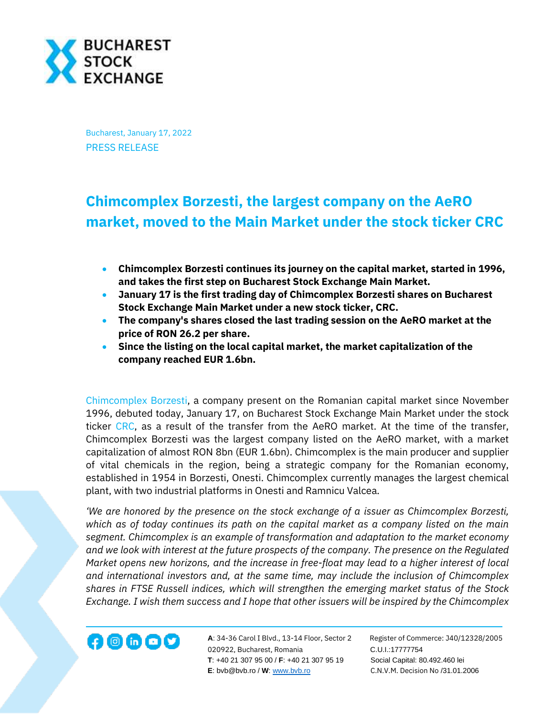

Bucharest, January 17, 2022 PRESS RELEASE

## **Chimcomplex Borzesti, the largest company on the AeRO market, moved to the Main Market under the stock ticker CRC**

- **Chimcomplex Borzesti continues its journey on the capital market, started in 1996, and takes the first step on Bucharest Stock Exchange Main Market.**
- **January 17 is the first trading day of Chimcomplex Borzesti shares on Bucharest Stock Exchange Main Market under a new stock ticker, CRC.**
- **The company's shares closed the last trading session on the AeRO market at the price of RON 26.2 per share.**
- **Since the listing on the local capital market, the market capitalization of the company reached EUR 1.6bn.**

[Chimcomplex Borzesti,](https://www.chimcomplex.com/) a company present on the Romanian capital market since November 1996, debuted today, January 17, on Bucharest Stock Exchange Main Market under the stock ticker [CRC,](https://bvb.ro/FinancialInstruments/Details/FinancialInstrumentsDetails.aspx?s=CRC) as a result of the transfer from the AeRO market. At the time of the transfer, Chimcomplex Borzesti was the largest company listed on the AeRO market, with a market capitalization of almost RON 8bn (EUR 1.6bn). Chimcomplex is the main producer and supplier of vital chemicals in the region, being a strategic company for the Romanian economy, established in 1954 in Borzesti, Onesti. Chimcomplex currently manages the largest chemical plant, with two industrial platforms in Onesti and Ramnicu Valcea.

*'We are honored by the presence on the stock exchange of a issuer as Chimcomplex Borzesti, which as of today continues its path on the capital market as a company listed on the main segment. Chimcomplex is an example of transformation and adaptation to the market economy and we look with interest at the future prospects of the company. The presence on the Regulated Market opens new horizons, and the increase in free-float may lead to a higher interest of local and international investors and, at the same time, may include the inclusion of Chimcomplex shares in FTSE Russell indices, which will strengthen the emerging market status of the Stock Exchange. I wish them success and I hope that other issuers will be inspired by the Chimcomplex* 



**A**: 34-36 Carol I Blvd., 13-14 Floor, Sector 2 Register of Commerce: J40/12328/2005 020922, Bucharest, Romania C.U.I.:17777754  **T**: +40 21 307 95 00 / **F**: +40 21 307 95 19 Social Capital: 80.492.460 lei **E**: bvb@bvb.ro / **W**[: www.bvb.ro](http://www.bvb.ro/) C.N.V.M. Decision No /31.01.2006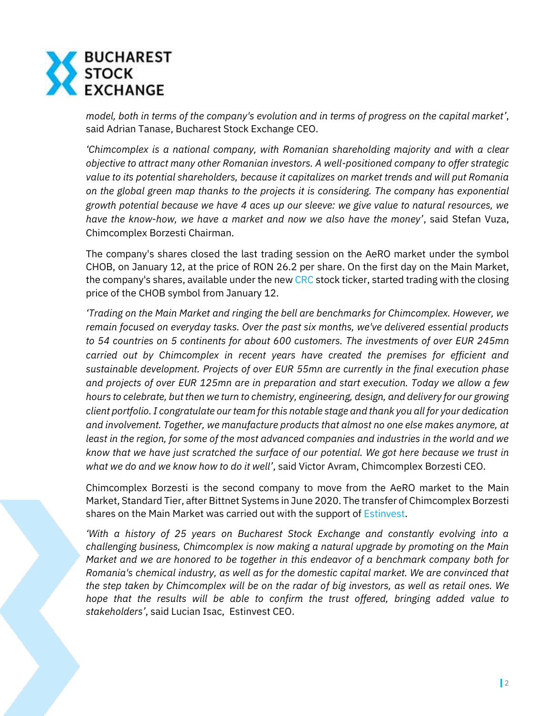

*model, both in terms of the company's evolution and in terms of progress on the capital market'*, said Adrian Tanase, Bucharest Stock Exchange CEO.

*'Chimcomplex is a national company, with Romanian shareholding majority and with a clear objective to attract many other Romanian investors. A well-positioned company to offer strategic value to its potential shareholders, because it capitalizes on market trends and will put Romania on the global green map thanks to the projects it is considering. The company has exponential growth potential because we have 4 aces up our sleeve: we give value to natural resources, we have the know-how, we have a market and now we also have the money'*, said Stefan Vuza, Chimcomplex Borzesti Chairman.

The company's shares closed the last trading session on the AeRO market under the symbol CHOB, on January 12, at the price of RON 26.2 per share. On the first day on the Main Market, the company's shares, available under the new [CRC](https://bvb.ro/FinancialInstruments/Details/FinancialInstrumentsDetails.aspx?s=CRC) stock ticker, started trading with the closing price of the CHOB symbol from January 12.

*'Trading on the Main Market and ringing the bell are benchmarks for Chimcomplex. However, we remain focused on everyday tasks. Over the past six months, we've delivered essential products to 54 countries on 5 continents for about 600 customers. The investments of over EUR 245mn carried out by Chimcomplex in recent years have created the premises for efficient and sustainable development. Projects of over EUR 55mn are currently in the final execution phase and projects of over EUR 125mn are in preparation and start execution. Today we allow a few hours to celebrate, but then we turn to chemistry, engineering, design, and delivery for our growing client portfolio. I congratulate our team for this notable stage and thank you all for your dedication and involvement. Together, we manufacture products that almost no one else makes anymore, at least in the region, for some of the most advanced companies and industries in the world and we know that we have just scratched the surface of our potential. We got here because we trust in what we do and we know how to do it well'*, said Victor Avram, Chimcomplex Borzesti CEO.

Chimcomplex Borzesti is the second company to move from the AeRO market to the Main Market, Standard Tier, after Bittnet Systems in June 2020. The transfer of Chimcomplex Borzesti shares on the Main Market was carried out with the support of [Estinvest.](https://www.estinvest.ro/)

*'With a history of 25 years on Bucharest Stock Exchange and constantly evolving into a challenging business, Chimcomplex is now making a natural upgrade by promoting on the Main Market and we are honored to be together in this endeavor of a benchmark company both for Romania's chemical industry, as well as for the domestic capital market. We are convinced that the step taken by Chimcomplex will be on the radar of big investors, as well as retail ones. We hope that the results will be able to confirm the trust offered, bringing added value to stakeholders'*, said Lucian Isac, Estinvest CEO.